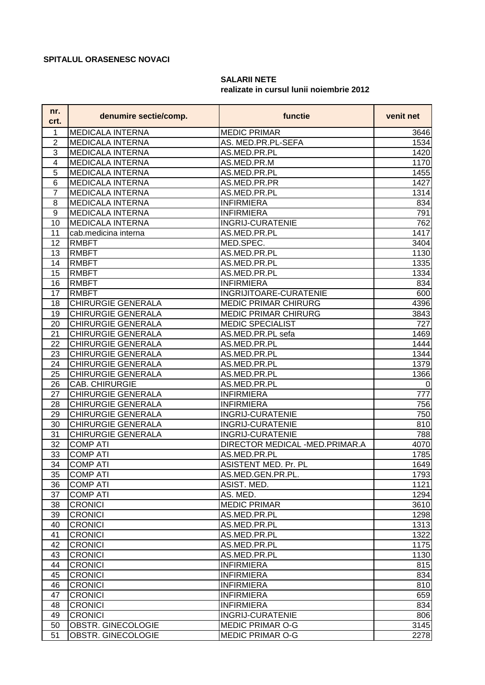## **SPITALUL ORASENESC NOVACI**

## **SALARII NETE realizate in cursul lunii noiembrie 2012**

| nr.<br>crt.             | denumire sectie/comp.     | functie                        | venit net      |
|-------------------------|---------------------------|--------------------------------|----------------|
| 1                       | <b>MEDICALA INTERNA</b>   | <b>MEDIC PRIMAR</b>            | 3646           |
| $\overline{2}$          | <b>MEDICALA INTERNA</b>   | AS. MED.PR.PL-SEFA             | 1534           |
| 3                       | <b>MEDICALA INTERNA</b>   | AS.MED.PR.PL                   | 1420           |
| $\overline{\mathbf{4}}$ | <b>MEDICALA INTERNA</b>   | AS.MED.PR.M                    | 1170           |
| 5                       | <b>MEDICALA INTERNA</b>   | AS.MED.PR.PL                   | 1455           |
| $\overline{6}$          | <b>MEDICALA INTERNA</b>   | AS.MED.PR.PR                   | 1427           |
| $\overline{7}$          | <b>MEDICALA INTERNA</b>   | AS.MED.PR.PL                   | 1314           |
| 8                       | <b>MEDICALA INTERNA</b>   | <b>INFIRMIERA</b>              | 834            |
| 9                       | <b>MEDICALA INTERNA</b>   | <b>INFIRMIERA</b>              | 791            |
| 10                      | <b>MEDICALA INTERNA</b>   | <b>INGRIJ-CURATENIE</b>        | 762            |
| 11                      | cab.medicina interna      | AS.MED.PR.PL                   | 1417           |
| 12                      | <b>RMBFT</b>              | MED.SPEC.                      | 3404           |
| 13                      | <b>RMBFT</b>              | AS.MED.PR.PL                   | 1130           |
| 14                      | <b>RMBFT</b>              | AS.MED.PR.PL                   | 1335           |
| 15                      | <b>RMBFT</b>              | AS.MED.PR.PL                   | 1334           |
| 16                      | <b>RMBFT</b>              | <b>INFIRMIERA</b>              | 834            |
| 17                      | <b>RMBFT</b>              | INGRIJITOARE-CURATENIE         | 600            |
| 18                      | <b>CHIRURGIE GENERALA</b> | MEDIC PRIMAR CHIRURG           | 4396           |
| 19                      | <b>CHIRURGIE GENERALA</b> | <b>MEDIC PRIMAR CHIRURG</b>    | 3843           |
| 20                      | <b>CHIRURGIE GENERALA</b> | <b>MEDIC SPECIALIST</b>        | 727            |
| 21                      | <b>CHIRURGIE GENERALA</b> | AS.MED.PR.PL sefa              | 1469           |
| 22                      | <b>CHIRURGIE GENERALA</b> | AS.MED.PR.PL                   | 1444           |
| 23                      | <b>CHIRURGIE GENERALA</b> | AS.MED.PR.PL                   | 1344           |
| 24                      | <b>CHIRURGIE GENERALA</b> | AS.MED.PR.PL                   | 1379           |
| 25                      | CHIRURGIE GENERALA        | AS.MED.PR.PL                   | 1366           |
| 26                      | CAB. CHIRURGIE            | AS.MED.PR.PL                   | $\overline{0}$ |
| 27                      | <b>CHIRURGIE GENERALA</b> | <b>INFIRMIERA</b>              | 777            |
| 28                      | <b>CHIRURGIE GENERALA</b> | <b>INFIRMIERA</b>              | 756            |
| 29                      | <b>CHIRURGIE GENERALA</b> | <b>INGRIJ-CURATENIE</b>        | 750            |
| 30                      | <b>CHIRURGIE GENERALA</b> | <b>INGRIJ-CURATENIE</b>        | 810            |
| 31                      | <b>CHIRURGIE GENERALA</b> | <b>INGRIJ-CURATENIE</b>        | 788            |
| 32                      | <b>COMP ATI</b>           | DIRECTOR MEDICAL -MED.PRIMAR.A | 4070           |
| 33                      | <b>COMP ATI</b>           | AS.MED.PR.PL                   | 1785           |
| 34                      | <b>COMP ATI</b>           | <b>ASISTENT MED. Pr. PL</b>    | 1649           |
| 35                      | <b>COMP ATI</b>           | AS.MED.GEN.PR.PL.              | 1793           |
| 36                      | <b>COMP ATI</b>           | ASIST. MED.                    | 1121           |
| 37                      | <b>COMP ATI</b>           | AS. MED.                       | 1294           |
| 38                      | <b>CRONICI</b>            | <b>MEDIC PRIMAR</b>            | 3610           |
| 39                      | <b>CRONICI</b>            | AS.MED.PR.PL                   | 1298           |
| 40                      | <b>CRONICI</b>            | AS.MED.PR.PL                   | 1313           |
| 41                      | <b>CRONICI</b>            | AS.MED.PR.PL                   | 1322           |
| 42                      | <b>CRONICI</b>            | AS.MED.PR.PL                   | 1175           |
| 43                      | <b>CRONICI</b>            | AS.MED.PR.PL                   | 1130           |
| 44                      | <b>CRONICI</b>            | <b>INFIRMIERA</b>              | 815            |
| 45                      | <b>CRONICI</b>            | <b>INFIRMIERA</b>              | 834            |
| 46                      | <b>CRONICI</b>            | <b>INFIRMIERA</b>              | 810            |
| 47                      | <b>CRONICI</b>            | <b>INFIRMIERA</b>              | 659            |
| 48                      | <b>CRONICI</b>            | <b>INFIRMIERA</b>              | 834            |
| 49                      | <b>CRONICI</b>            | <b>INGRIJ-CURATENIE</b>        | 806            |
| 50                      | <b>OBSTR. GINECOLOGIE</b> | <b>MEDIC PRIMAR O-G</b>        | 3145           |
| 51                      | OBSTR. GINECOLOGIE        | <b>MEDIC PRIMAR O-G</b>        | 2278           |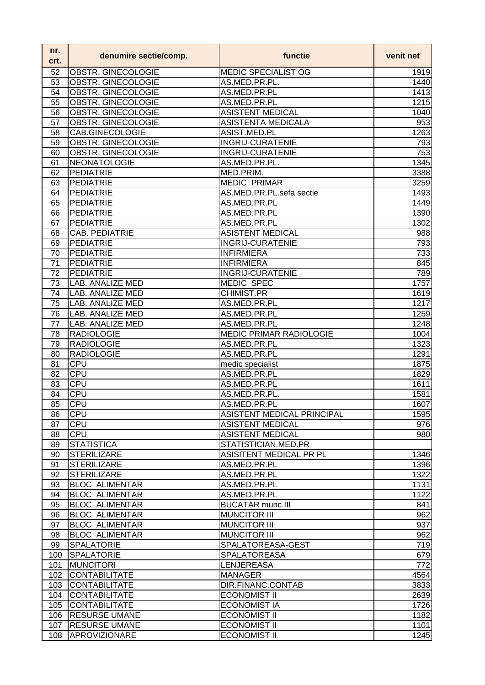| nr.<br>crt. | denumire sectie/comp.                          | functie                                    | venit net  |
|-------------|------------------------------------------------|--------------------------------------------|------------|
| 52          | OBSTR. GINECOLOGIE                             | MEDIC SPECIALIST OG                        | 1919       |
| 53          | OBSTR. GINECOLOGIE                             | AS.MED.PR.PL.                              | 1440       |
| 54          | OBSTR. GINECOLOGIE                             | AS.MED.PR.PL                               | 1413       |
| 55          | OBSTR. GINECOLOGIE                             | AS.MED.PR.PL                               | 1215       |
| 56          | OBSTR. GINECOLOGIE                             | <b>ASISTENT MEDICAL</b>                    | 1040       |
| 57          | OBSTR. GINECOLOGIE                             | <b>ASISTENTA MEDICALA</b>                  | 953        |
| 58          | CAB.GINECOLOGIE                                | ASIST.MED.PL                               | 1263       |
| 59          | OBSTR. GINECOLOGIE                             | <b>INGRIJ-CURATENIE</b>                    | 793        |
| 60          | OBSTR. GINECOLOGIE                             | <b>INGRIJ-CURATENIE</b>                    | 753        |
| 61          | <b>NEONATOLOGIE</b>                            | AS.MED.PR.PL.                              | 1345       |
| 62          | <b>PEDIATRIE</b>                               | MED.PRIM.                                  | 3388       |
| 63          | <b>PEDIATRIE</b>                               | <b>MEDIC PRIMAR</b>                        | 3259       |
| 64          | <b>PEDIATRIE</b>                               | AS.MED.PR.PL.sefa sectie                   | 1493       |
| 65          | PEDIATRIE                                      | AS.MED.PR.PL                               | 1449       |
| 66          | PEDIATRIE                                      | AS.MED.PR.PL                               | 1390       |
| 67          | <b>PEDIATRIE</b>                               | AS.MED.PR.PL                               | 1302       |
| 68          | <b>CAB. PEDIATRIE</b>                          | <b>ASISTENT MEDICAL</b>                    | 988        |
| 69          | <b>PEDIATRIE</b>                               | <b>INGRIJ-CURATENIE</b>                    | 793        |
| 70          | PEDIATRIE                                      | <b>INFIRMIERA</b>                          | 733        |
| 71          | <b>PEDIATRIE</b>                               | <b>INFIRMIERA</b>                          | 845        |
| 72          | PEDIATRIE                                      | <b>INGRIJ-CURATENIE</b>                    | 789        |
| 73          | LAB. ANALIZE MED                               | MEDIC SPEC                                 | 1757       |
| 74          | LAB. ANALIZE MED                               | CHIMIST.PR                                 | 1619       |
| 75          | <b>LAB. ANALIZE MED</b>                        | AS.MED.PR.PL                               | 1217       |
| 76          | LAB. ANALIZE MED                               | AS.MED.PR.PL                               | 1259       |
| 77          | LAB. ANALIZE MED                               | AS.MED.PR.PL                               | 1248       |
| 78          | <b>RADIOLOGIE</b>                              | <b>MEDIC PRIMAR RADIOLOGIE</b>             | 1004       |
| 79          | <b>RADIOLOGIE</b>                              | AS.MED.PR.PL                               | 1323       |
| 80          | <b>RADIOLOGIE</b>                              | AS.MED.PR.PL                               | 1291       |
| 81          | CPU                                            | medic specialist                           | 1875       |
| 82          | CPU                                            | AS.MED.PR.PL                               | 1829       |
| 83          | CPU                                            | AS.MED.PR.PL                               | 1611       |
| 84          | <b>CPU</b>                                     | AS.MED.PR.PL.                              | 1581       |
| 85          | CPU                                            | AS.MED.PR.PL                               | 1607       |
| 86          | <b>CPU</b>                                     | ASISTENT MEDICAL PRINCIPAL                 | 1595       |
| 87          | <b>CPU</b>                                     | <b>ASISTENT MEDICAL</b>                    | 976        |
| 88          | CPU                                            | <b>ASISTENT MEDICAL</b>                    | 980        |
| 89          | <b>STATISTICA</b>                              | STATISTICIAN.MED.PR                        |            |
| 90          | <b>STERILIZARE</b>                             | ASISITENT MEDICAL PR PL                    | 1346       |
| 91          | <b>STERILIZARE</b>                             | AS.MED.PR.PL                               | 1396       |
| 92          | <b>STERILIZARE</b>                             | AS.MED.PR.PL                               | 1322       |
| 93          | <b>BLOC ALIMENTAR</b>                          | AS.MED.PR.PL                               | 1131       |
| 94          | <b>BLOC ALIMENTAR</b>                          | AS.MED.PR.PL                               | 1122       |
| 95          | <b>BLOC ALIMENTAR</b>                          | <b>BUCATAR munc.III</b>                    | 841<br>962 |
| 96          | <b>BLOC ALIMENTAR</b><br><b>BLOC ALIMENTAR</b> | <b>MUNCITOR III</b>                        |            |
| 97<br>98    | <b>BLOC ALIMENTAR</b>                          | <b>MUNCITOR III</b><br><b>MUNCITOR III</b> | 937<br>962 |
|             | <b>SPALATORIE</b>                              | SPALATOREASA-GEST                          |            |
| 99<br>100   | <b>SPALATORIE</b>                              | <b>SPALATOREASA</b>                        | 719<br>679 |
|             | <b>MUNCITORI</b>                               | LENJEREASA                                 | 772        |
| 101<br>102  | <b>CONTABILITATE</b>                           | <b>MANAGER</b>                             | 4564       |
| 103         | <b>CONTABILITATE</b>                           | DIR.FINANC.CONTAB                          | 3833       |
| 104         | <b>CONTABILITATE</b>                           | <b>ECONOMIST II</b>                        | 2639       |
| 105         | <b>CONTABILITATE</b>                           | <b>ECONOMIST IA</b>                        | 1726       |
|             | <b>RESURSE UMANE</b>                           | <b>ECONOMIST II</b>                        | 1182       |
| 106         | <b>RESURSE UMANE</b>                           | <b>ECONOMIST II</b>                        | 1101       |
| 107<br>108  | <b>APROVIZIONARE</b>                           | <b>ECONOMIST II</b>                        |            |
|             |                                                |                                            | 1245       |